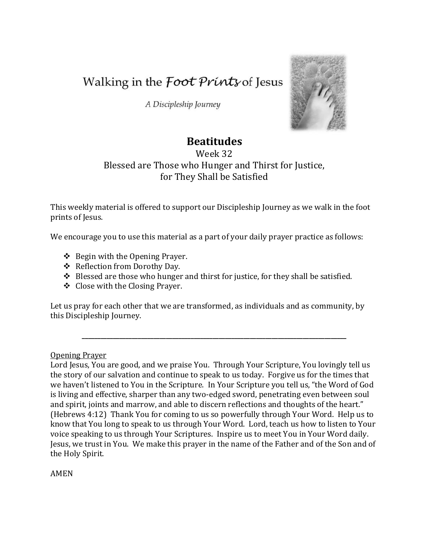Walking in the *Foot Prints* of Jesus

A Discipleship Journey



# **Beatitudes**

Week 32 Blessed are Those who Hunger and Thirst for Justice, for They Shall be Satisfied

This weekly material is offered to support our Discipleship Journey as we walk in the foot prints of Jesus.

We encourage you to use this material as a part of your daily prayer practice as follows:

- $\div$  Begin with the Opening Prayer.
- ❖ Reflection from Dorothy Day.
- $\div$  Blessed are those who hunger and thirst for justice, for they shall be satisfied.
- Close with the Closing Prayer.

Let us pray for each other that we are transformed, as individuals and as community, by this Discipleship Journey.

**\_\_\_\_\_\_\_\_\_\_\_\_\_\_\_\_\_\_\_\_\_\_\_\_\_\_\_\_\_\_\_\_\_\_\_\_\_\_\_\_\_\_\_\_\_\_\_\_\_\_\_\_\_\_\_\_\_\_\_\_\_\_\_\_\_\_\_\_\_\_\_\_\_\_\_\_\_\_\_\_\_\_\_\_\_**

Opening Prayer

Lord Jesus, You are good, and we praise You. Through Your Scripture, You lovingly tell us the story of our salvation and continue to speak to us today. Forgive us for the times that we haven't listened to You in the Scripture. In Your Scripture you tell us, "the Word of God is living and effective, sharper than any two-edged sword, penetrating even between soul and spirit, joints and marrow, and able to discern reflections and thoughts of the heart." (Hebrews 4:12) Thank You for coming to us so powerfully through Your Word. Help us to know that You long to speak to us through Your Word. Lord, teach us how to listen to Your voice speaking to us through Your Scriptures. Inspire us to meet You in Your Word daily. Jesus, we trust in You. We make this prayer in the name of the Father and of the Son and of the Holy Spirit.

AMEN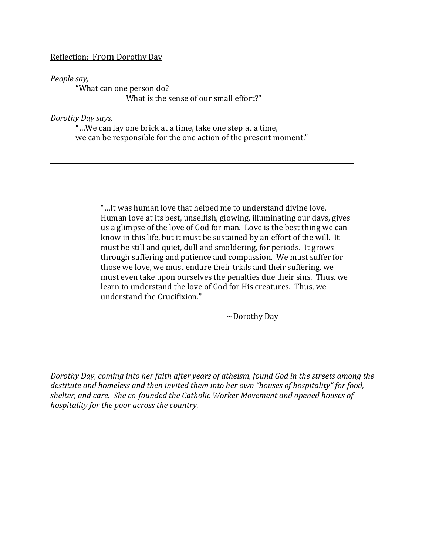## Reflection: From Dorothy Day

#### *People say,*

"What can one person do? What is the sense of our small effort?"

#### *Dorothy Day says,*

"…We can lay one brick at a time, take one step at a time, we can be responsible for the one action of the present moment."

> "…It was human love that helped me to understand divine love. Human love at its best, unselfish, glowing, illuminating our days, gives us a glimpse of the love of God for man. Love is the best thing we can know in this life, but it must be sustained by an effort of the will. It must be still and quiet, dull and smoldering, for periods. It grows through suffering and patience and compassion. We must suffer for those we love, we must endure their trials and their suffering, we must even take upon ourselves the penalties due their sins. Thus, we learn to understand the love of God for His creatures. Thus, we understand the Crucifixion."

> > ~Dorothy Day

*Dorothy Day, coming into her faith after years of atheism, found God in the streets among the destitute and homeless and then invited them into her own "houses of hospitality" for food, shelter, and care. She co-founded the Catholic Worker Movement and opened houses of hospitality for the poor across the country.*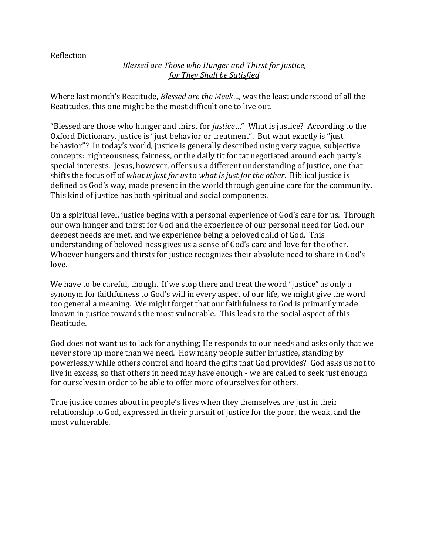# Reflection

# *Blessed are Those who Hunger and Thirst for Justice, for They Shall be Satisfied*

Where last month's Beatitude, *Blessed are the Meek…,* was the least understood of all the Beatitudes, this one might be the most difficult one to live out.

"Blessed are those who hunger and thirst for *justice*…" What is justice? According to the Oxford Dictionary, justice is "just behavior or treatment". But what exactly is "just behavior"? In today's world, justice is generally described using very vague, subjective concepts: righteousness, fairness, or the daily tit for tat negotiated around each party's special interests. Jesus, however, offers us a different understanding of justice, one that shifts the focus off of *what is just for us* to *what is just for the other*. Biblical justice is defined as God's way, made present in the world through genuine care for the community. This kind of justice has both spiritual and social components.

On a spiritual level, justice begins with a personal experience of God's care for us. Through our own hunger and thirst for God and the experience of our personal need for God, our deepest needs are met, and we experience being a beloved child of God. This understanding of beloved-ness gives us a sense of God's care and love for the other. Whoever hungers and thirsts for justice recognizes their absolute need to share in God's love.

We have to be careful, though. If we stop there and treat the word "justice" as only a synonym for faithfulness to God's will in every aspect of our life, we might give the word too general a meaning. We might forget that our faithfulness to God is primarily made known in justice towards the most vulnerable. This leads to the social aspect of this Beatitude.

God does not want us to lack for anything; He responds to our needs and asks only that we never store up more than we need. How many people suffer injustice, standing by powerlessly while others control and hoard the gifts that God provides? God asks us not to live in excess, so that others in need may have enough - we are called to seek just enough for ourselves in order to be able to offer more of ourselves for others.

True justice comes about in people's lives when they themselves are just in their relationship to God, expressed in their pursuit of justice for the poor, the weak, and the most vulnerable.